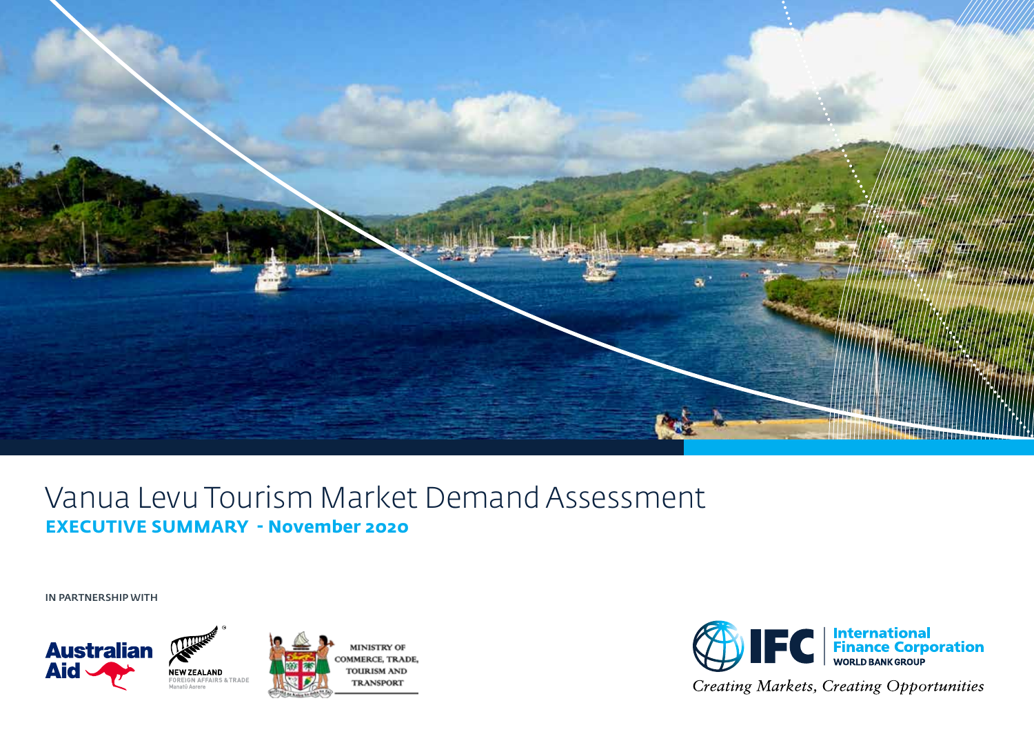

# Vanua Levu Tourism Market Demand Assessment **EXECUTIVE SUMMARY - November 2020**

IN PARTNERSHIP WITH





**Creating Markets, Creating Opportunities**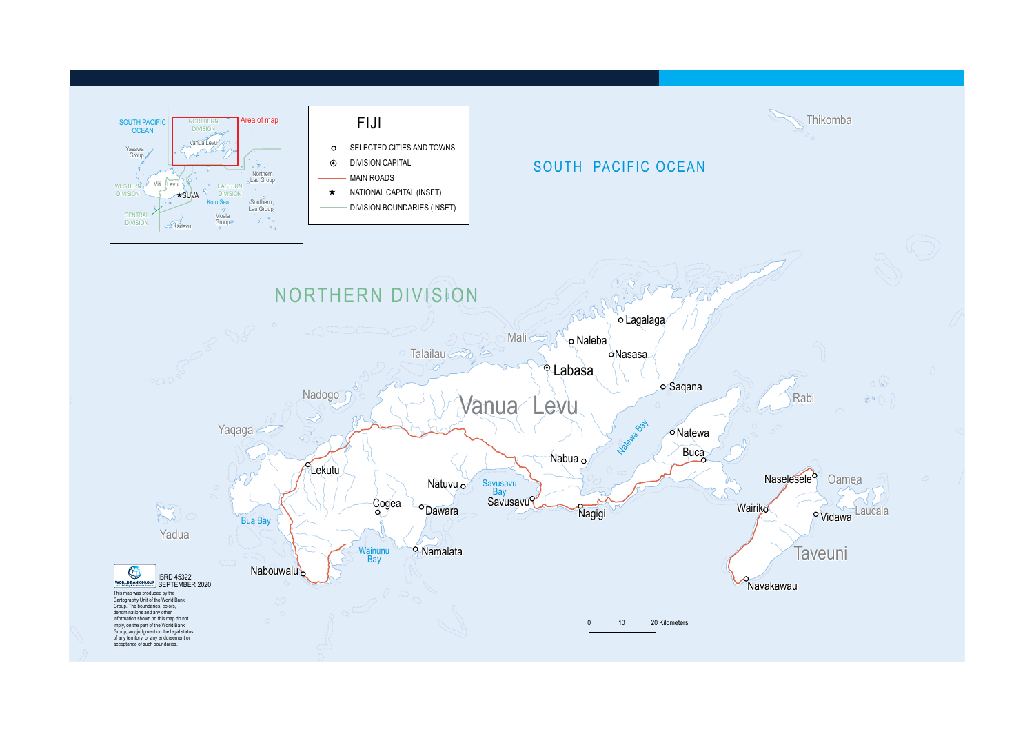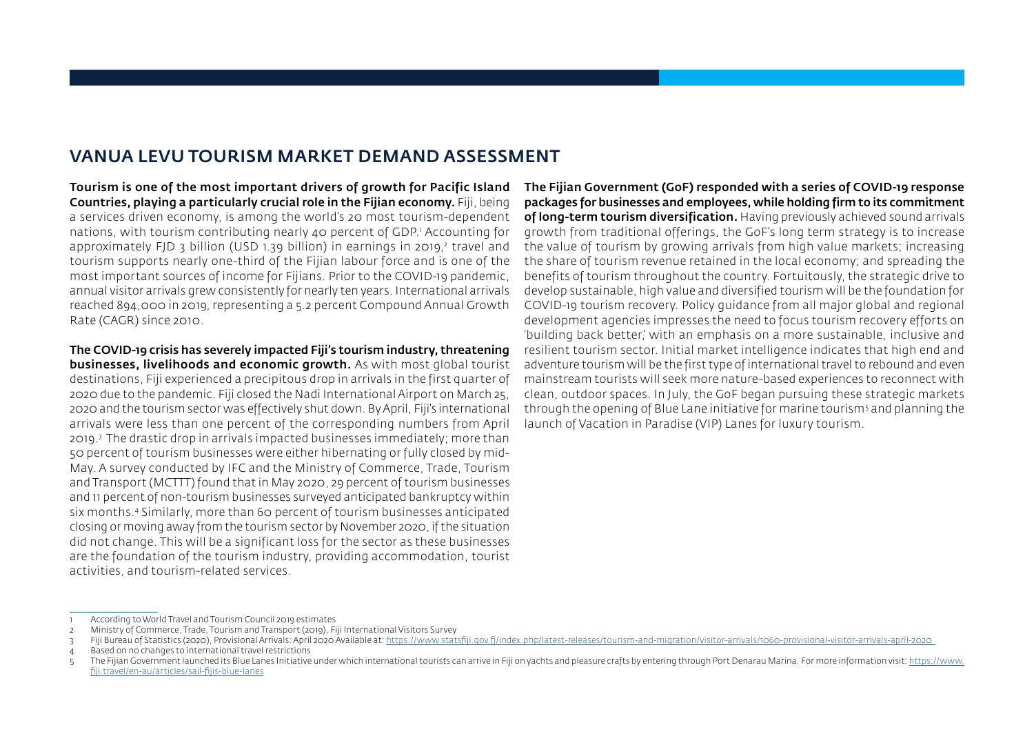## VANUA LEVU TOURISM MARKET DEMAND ASSESSMENT

Tourism is one of the most important drivers of growth for Pacific Island Countries, playing a particularly crucial role in the Fijian economy. Fiji, being a services driven economy, is among the world's 20 most tourism-dependent nations, with tourism contributing nearly 40 percent of GDP.1 Accounting for approximately FJD 3 billion (USD 1.39 billion) in earnings in 2019,<sup>2</sup> travel and tourism supports nearly one-third of the Fijian labour force and is one of the most important sources of income for Fijians. Prior to the COVID-19 pandemic, annual visitor arrivals grew consistently for nearly ten years. International arrivals reached 894,000 in 2019, representing a 5.2 percent Compound Annual Growth Rate (CAGR) since 2010.

The COVID-19 crisis has severely impacted Fiji's tourism industry, threatening businesses, livelihoods and economic growth. As with most global tourist destinations, Fiji experienced a precipitous drop in arrivals in the first quarter of 2020 due to the pandemic. Fiji closed the Nadi International Airport on March 25, 2020 and the tourism sector was effectively shut down. By April, Fiji's international arrivals were less than one percent of the corresponding numbers from April 2019.3 The drastic drop in arrivals impacted businesses immediately; more than 50 percent of tourism businesses were either hibernating or fully closed by mid-May. A survey conducted by IFC and the Ministry of Commerce, Trade, Tourism and Transport (MCTTT) found that in May 2020, 29 percent of tourism businesses and 11 percent of non-tourism businesses surveyed anticipated bankruptcy within six months.4 Similarly, more than 60 percent of tourism businesses anticipated closing or moving away from the tourism sector by November 2020, if the situation did not change. This will be a significant loss for the sector as these businesses are the foundation of the tourism industry, providing accommodation, tourist activities, and tourism-related services.

The Fijian Government (GoF) responded with a series of COVID-19 response packages for businesses and employees, while holding firm to its commitment of long-term tourism diversification. Having previously achieved sound arrivals growth from traditional offerings, the GoF's long term strategy is to increase the value of tourism by growing arrivals from high value markets; increasing the share of tourism revenue retained in the local economy; and spreading the benefits of tourism throughout the country. Fortuitously, the strategic drive to develop sustainable, high value and diversified tourism will be the foundation for COVID-19 tourism recovery. Policy guidance from all major global and regional development agencies impresses the need to focus tourism recovery efforts on 'building back better,' with an emphasis on a more sustainable, inclusive and resilient tourism sector. Initial market intelligence indicates that high end and adventure tourism will be the first type of international travel to rebound and even mainstream tourists will seek more nature-based experiences to reconnect with clean, outdoor spaces. In July, the GoF began pursuing these strategic markets through the opening of Blue Lane initiative for marine tourism§ and planning the launch of Vacation in Paradise (VIP) Lanes for luxury tourism.

<sup>1</sup> According to World Travel and Tourism Council 2019 estimates

<sup>2</sup> Ministry of Commerce, Trade, Tourism and Transport (2019), Fiji International Visitors Survey

<sup>3</sup> Fiji Bureau of Statistics (2020), Provisional Arrivals: April 2020 Available at:<https://www.statsfiji.gov.fj/index.php/latest-releases/tourism-and-migration/visitor-arrivals/1060-provisional-visitor-arrivals-april-2020>

<sup>4</sup> Based on no changes to international travel restrictions

<sup>5</sup> The Fijian Government launched its Blue Lanes Initiative under which international tourists can arrive in Fiji on yachts and pleasure crafts by entering through Port Denarau Marina. For more information visit: https://www. fiji.travel/en-au/articles/sail-fijis-blue-lanes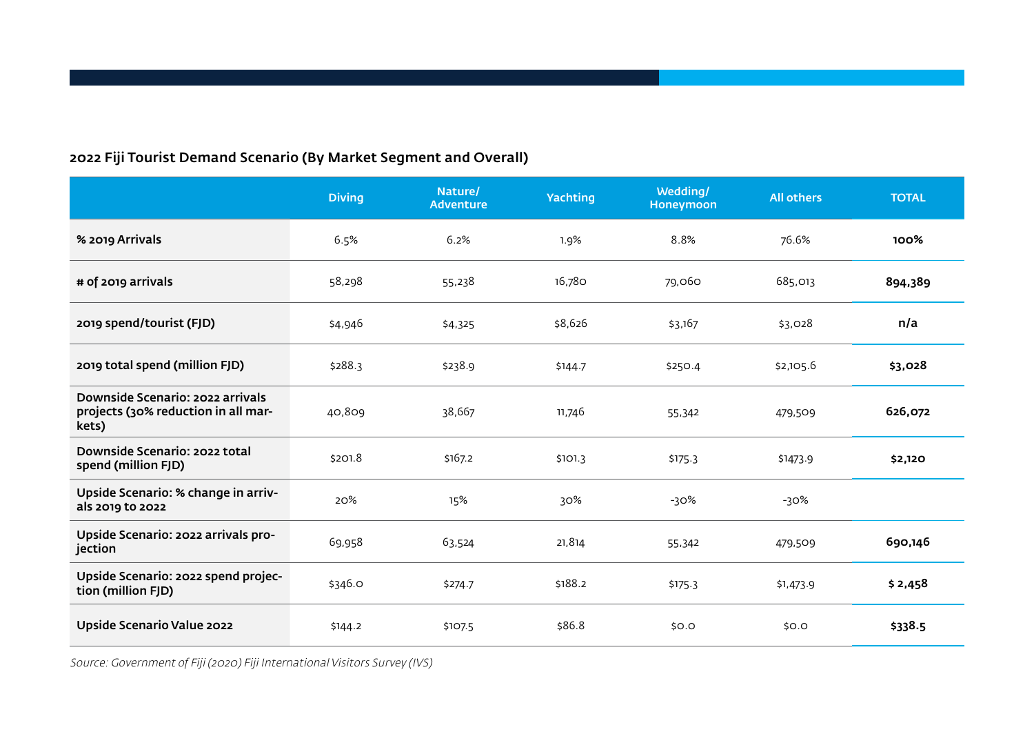## 2022 Fiji Tourist Demand Scenario (By Market Segment and Overall)

|                                                                                  | <b>Diving</b> | Nature/<br><b>Adventure</b> | Yachting | Wedding/<br>Honeymoon | <b>All others</b> | <b>TOTAL</b> |
|----------------------------------------------------------------------------------|---------------|-----------------------------|----------|-----------------------|-------------------|--------------|
| % 2019 Arrivals                                                                  | 6.5%          | 6.2%                        | 1.9%     | 8.8%                  | 76.6%             | 100%         |
| # of 2019 arrivals                                                               | 58,298        | 55,238                      | 16,780   | 79,060                | 685,013           | 894,389      |
| 2019 spend/tourist (FJD)                                                         | \$4,946       | \$4,325                     | \$8,626  | \$3,167               | \$3,028           | n/a          |
| 2019 total spend (million FJD)                                                   | \$288.3       | \$238.9                     | \$144.7  | \$250.4               | \$2,105.6         | \$3,028      |
| Downside Scenario: 2022 arrivals<br>projects (30% reduction in all mar-<br>kets) | 40,809        | 38,667                      | 11,746   | 55,342                | 479,509           | 626,072      |
| Downside Scenario: 2022 total<br>spend (million FJD)                             | \$201.8       | \$167.2                     | \$101.3  | \$175.3               | \$1473.9          | \$2,120      |
| Upside Scenario: % change in arriv-<br>als 2019 to 2022                          | 20%           | 15%                         | 30%      | $-30%$                | -30%              |              |
| Upside Scenario: 2022 arrivals pro-<br>jection                                   | 69,958        | 63,524                      | 21,814   | 55,342                | 479,509           | 690,146      |
| Upside Scenario: 2022 spend projec-<br>tion (million FJD)                        | \$346.0       | \$274.7                     | \$188.2  | \$175.3               | \$1,473.9         | \$2,458      |
| Upside Scenario Value 2022                                                       | \$144.2       | \$107.5                     | \$86.8   | \$0.0                 | \$0.0             | \$338.5      |

Source: Government of Fiji (2020) Fiji International Visitors Survey (IVS)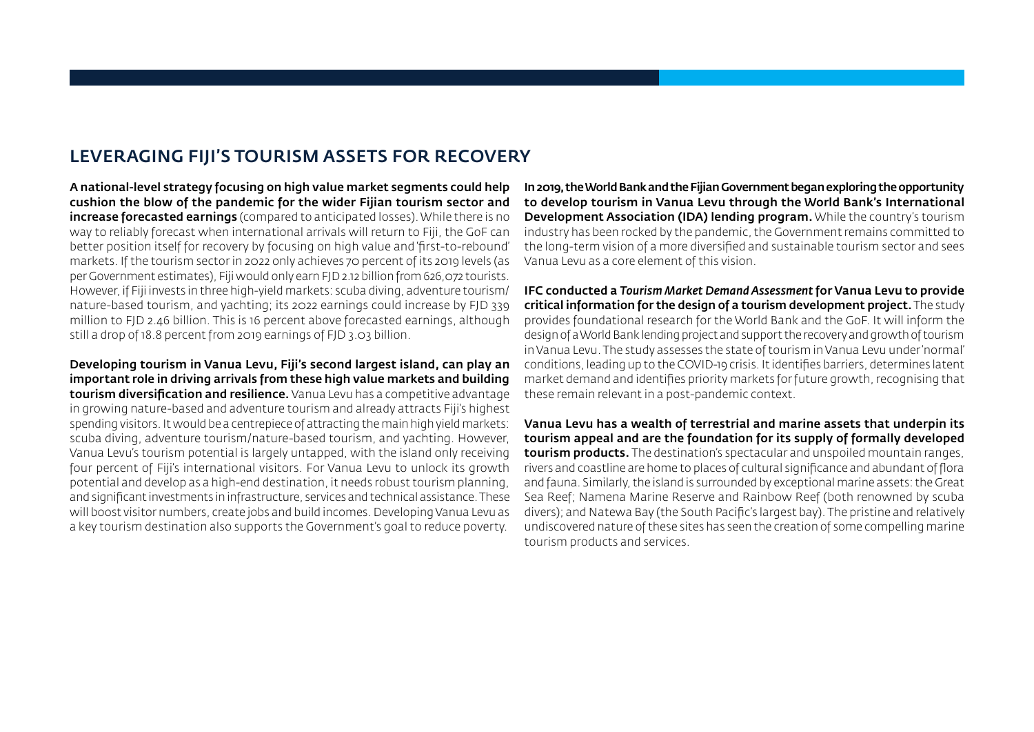## LEVERAGING FIJI'S TOURISM ASSETS FOR RECOVERY

A national-level strategy focusing on high value market segments could help cushion the blow of the pandemic for the wider Fijian tourism sector and increase forecasted earnings (compared to anticipated losses). While there is no way to reliably forecast when international arrivals will return to Fiji, the GoF can better position itself for recovery by focusing on high value and 'first-to-rebound' markets. If the tourism sector in 2022 only achieves 70 percent of its 2019 levels (as per Government estimates), Fiji would only earn FJD 2.12 billion from 626,072 tourists. However, if Fiji invests in three high-yield markets: scuba diving, adventure tourism/ nature-based tourism, and yachting; its 2022 earnings could increase by FJD 339 million to FJD 2.46 billion. This is 16 percent above forecasted earnings, although still a drop of 18.8 percent from 2019 earnings of FJD 3.03 billion.

Developing tourism in Vanua Levu, Fiji's second largest island, can play an important role in driving arrivals from these high value markets and building tourism diversification and resilience. Vanua Levu has a competitive advantage in growing nature-based and adventure tourism and already attracts Fiji's highest spending visitors. It would be a centrepiece of attracting the main high yield markets: scuba diving, adventure tourism/nature-based tourism, and yachting. However, Vanua Levu's tourism potential is largely untapped, with the island only receiving four percent of Fiji's international visitors. For Vanua Levu to unlock its growth potential and develop as a high-end destination, it needs robust tourism planning, and significant investments in infrastructure, services and technical assistance. These will boost visitor numbers, create jobs and build incomes. Developing Vanua Levu as a key tourism destination also supports the Government's goal to reduce poverty.

In 2019, the World Bank and the Fijian Government began exploring the opportunity to develop tourism in Vanua Levu through the World Bank's International Development Association (IDA) lending program. While the country's tourism industry has been rocked by the pandemic, the Government remains committed to the long-term vision of a more diversified and sustainable tourism sector and sees Vanua Levu as a core element of this vision.

IFC conducted a *Tourism Market Demand Assessment* for Vanua Levu to provide critical information for the design of a tourism development project. The study provides foundational research for the World Bank and the GoF. It will inform the design of a World Bank lending project and support the recovery and growth of tourism in Vanua Levu. The study assesses the state of tourism in Vanua Levu under 'normal' conditions, leading up to the COVID-19 crisis. It identifies barriers, determines latent market demand and identifies priority markets for future growth, recognising that these remain relevant in a post-pandemic context.

Vanua Levu has a wealth of terrestrial and marine assets that underpin its tourism appeal and are the foundation for its supply of formally developed tourism products. The destination's spectacular and unspoiled mountain ranges, rivers and coastline are home to places of cultural significance and abundant of flora and fauna. Similarly, the island is surrounded by exceptional marine assets: the Great Sea Reef; Namena Marine Reserve and Rainbow Reef (both renowned by scuba divers); and Natewa Bay (the South Pacific's largest bay). The pristine and relatively undiscovered nature of these sites has seen the creation of some compelling marine tourism products and services.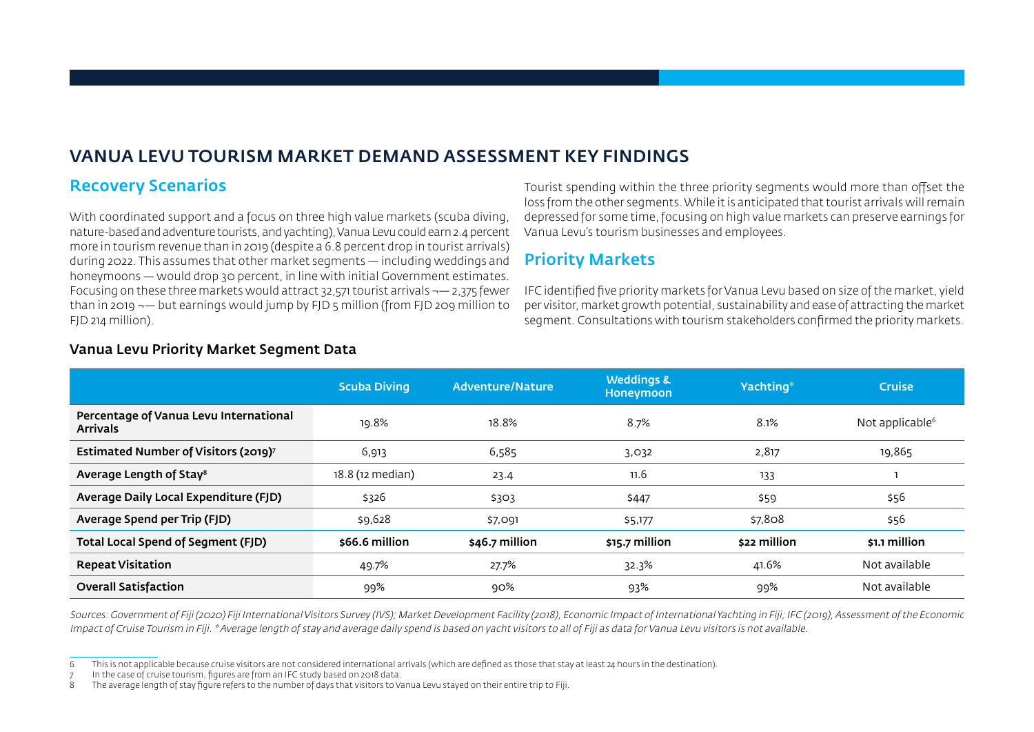# VANUA LEVU TOURISM MARKET DEMAND ASSESSMENT KEY FINDINGS

## Recovery Scenarios

With coordinated support and a focus on three high value markets (scuba diving, nature-based and adventure tourists, and yachting), Vanua Levu could earn 2.4 percent more in tourism revenue than in 2019 (despite a 6.8 percent drop in tourist arrivals) during 2022. This assumes that other market segments — including weddings and honeymoons — would drop 30 percent, in line with initial Government estimates. Focusing on these three markets would attract 32,571 tourist arrivals  $\rightarrow -2.375$  fewer than in 2019 ¬— but earnings would jump by FJD 5 million (from FJD 209 million to FJD 214 million).

Tourist spending within the three priority segments would more than offset the loss from the other segments. While it is anticipated that tourist arrivals will remain depressed for some time, focusing on high value markets can preserve earnings for Vanua Levu's tourism businesses and employees.

## Priority Markets

IFC identified five priority markets for Vanua Levu based on size of the market, yield per visitor, market growth potential, sustainability and ease of attracting the market segment. Consultations with tourism stakeholders confirmed the priority markets.

|                                                           | <b>Scuba Diving</b> | Adventure/Nature | <b>Weddings &amp;</b><br><b>Honeymoon</b> | Yachting <sup>®</sup> | <b>Cruise</b>      |
|-----------------------------------------------------------|---------------------|------------------|-------------------------------------------|-----------------------|--------------------|
| Percentage of Vanua Levu International<br><b>Arrivals</b> | 19.8%               | 18.8%            | 8.7%                                      | 8.1%                  | Not applicable $6$ |
| Estimated Number of Visitors (2019) <sup>7</sup>          | 6,913               | 6,585            | 3,032                                     | 2,817                 | 19,865             |
| Average Length of Stay <sup>8</sup>                       | 18.8 (12 median)    | 23.4             | 11.6                                      | 133                   |                    |
| Average Daily Local Expenditure (FJD)                     | \$326               | \$303            | \$447                                     | \$59                  | \$56               |
| Average Spend per Trip (FJD)                              | \$9,628             | \$7,091          | \$5,177                                   | \$7,808               | \$56               |
| Total Local Spend of Segment (FJD)                        | \$66.6 million      | \$46.7 million   | $$15.7$ million                           | \$22 million          | \$1.1 million      |
| <b>Repeat Visitation</b>                                  | 49.7%               | 27.7%            | 32.3%                                     | 41.6%                 | Not available      |
| <b>Overall Satisfaction</b>                               | 99%                 | 90%              | 93%                                       | 99%                   | Not available      |

#### Vanua Levu Priority Market Segment Data

Sources: Government of Fiji (2020) Fiji International Visitors Survey (IVS); Market Development Facility (2018), Economic Impact of International Yachting in Fiji; IFC (2019), Assessment of the Economic Impact of Cruise Tourism in Fiji. \* Average length of stay and average daily spend is based on yacht visitors to all of Fiji as data for Vanua Levu visitors is not available.

<sup>6</sup> This is not applicable because cruise visitors are not considered international arrivals (which are defined as those that stay at least 24 hours in the destination).

In the case of cruise tourism, figures are from an IFC study based on 2018 data.

<sup>8</sup> The average length of stay figure refers to the number of days that visitors to Vanua Levu stayed on their entire trip to Fiji.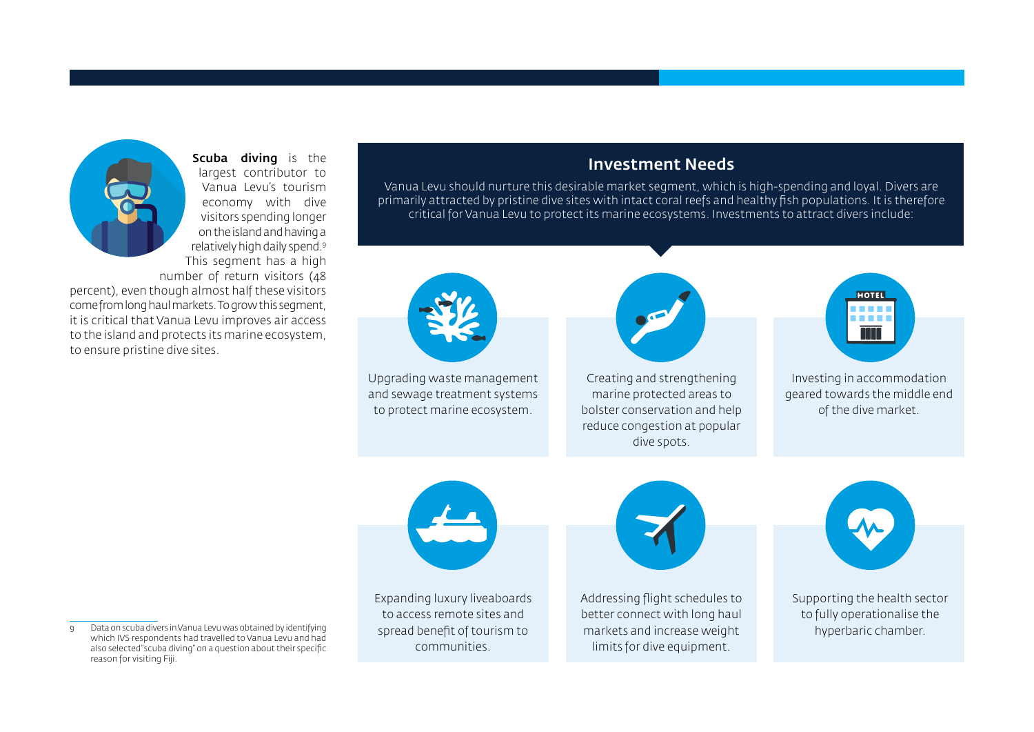

Scuba diving is the largest contributor to Vanua Levu's tourism economy with dive visitors spending longer on the island and having a relatively high daily spend.9 This segment has a high number of return visitors (48

percent), even though almost half these visitors come from long haul markets. To grow this segment, it is critical that Vanua Levu improves air access to the island and protects its marine ecosystem, to ensure pristine dive sites.

### Investment Needs

Vanua Levu should nurture this desirable market segment, which is high-spending and loyal. Divers are primarily attracted by pristine dive sites with intact coral reefs and healthy fish populations. It is therefore critical for Vanua Levu to protect its marine ecosystems. Investments to attract divers include:



Upgrading waste management and sewage treatment systems to protect marine ecosystem.



Creating and strengthening marine protected areas to bolster conservation and help reduce congestion at popular dive spots.



Investing in accommodation geared towards the middle end of the dive market.



Expanding luxury liveaboards to access remote sites and spread benefit of tourism to communities.



Addressing flight schedules to better connect with long haul markets and increase weight limits for dive equipment.



Supporting the health sector to fully operationalise the hyperbaric chamber.

<sup>9</sup> Data on scuba divers in Vanua Levu was obtained by identifying which IVS respondents had travelled to Vanua Levu and had also selected "scuba diving" on a question about their specific reason for visiting Fiji.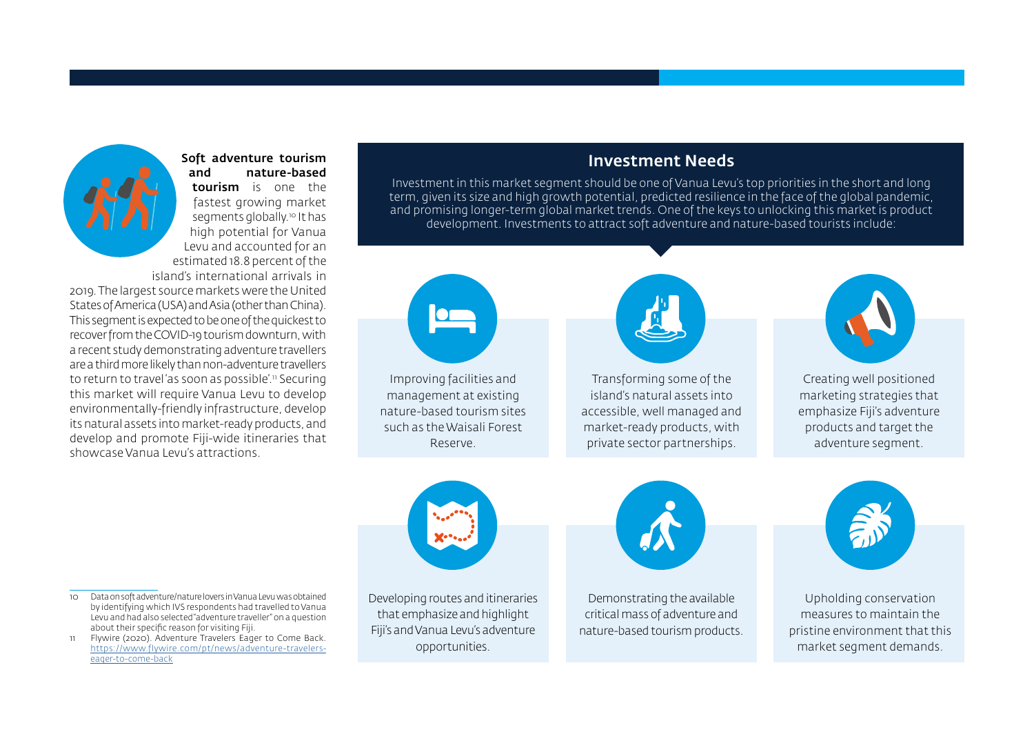

Soft adventure tourism and nature-based tourism is one the fastest growing market segments globally.<sup>10</sup> It has high potential for Vanua Levu and accounted for an estimated 18.8 percent of the island's international arrivals in

2019. The largest source markets were the United States of America (USA) and Asia (other than China). This segment is expected to be one of the quickest to recover from the COVID-19 tourism downturn, with a recent study demonstrating adventure travellers are a third more likely than non-adventure travellers to return to travel 'as soon as possible'.<sup>11</sup> Securing this market will require Vanua Levu to develop environmentally-friendly infrastructure, develop its natural assets into market-ready products, and develop and promote Fiji-wide itineraries that showcase Vanua Levu's attractions.

#### Investment Needs

Investment in this market segment should be one of Vanua Levu's top priorities in the short and long term, given its size and high growth potential, predicted resilience in the face of the global pandemic, and promising longer-term global market trends. One of the keys to unlocking this market is product development. Investments to attract soft adventure and nature-based tourists include:



Improving facilities and management at existing nature-based tourism sites such as the Waisali Forest Reserve.



Transforming some of the island's natural assets into accessible, well managed and market-ready products, with private sector partnerships.



Creating well positioned marketing strategies that emphasize Fiji's adventure products and target the adventure segment.



Developing routes and itineraries that emphasize and highlight Fiji's and Vanua Levu's adventure opportunities.



Demonstrating the available critical mass of adventure and nature-based tourism products.



Upholding conservation measures to maintain the pristine environment that this market segment demands.

10 Data on soft adventure/nature lovers in Vanua Levu was obtained by identifying which IVS respondents had travelled to Vanua Levu and had also selected "adventure traveller" on a question about their specific reason for visiting Fiji.

11 Flywire (2020). Adventure Travelers Eager to Come Back. [https://www.flywire.com/pt/news/adventure-travelers](https://www.flywire.com/pt/news/adventure-travelers-eager-to-come-back)[eager-to-come-back](https://www.flywire.com/pt/news/adventure-travelers-eager-to-come-back)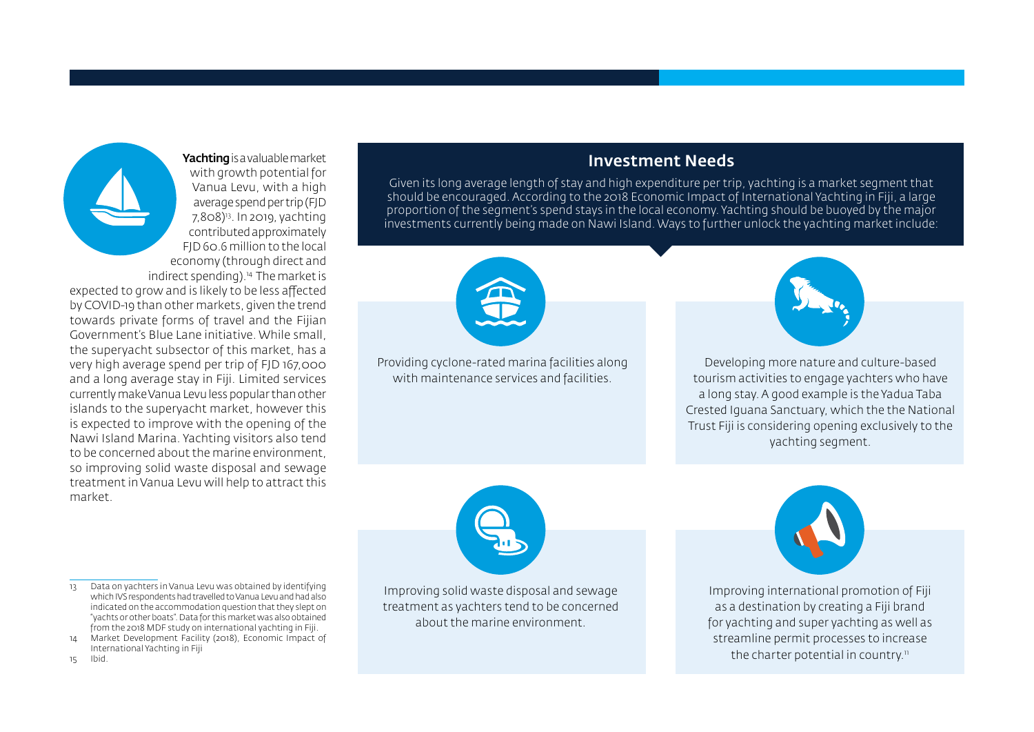with growth potential for Vanua Levu, with a high average spend per trip (FJD 7,808)<sup>13</sup>. In 2019, yachting contributed approximately FJD 60.6 million to the local economy (through direct and indirect spending).<sup>14</sup> The market is expected to grow and is likely to be less affected by COVID-19 than other markets, given the trend towards private forms of travel and the Fijian Government's Blue Lane initiative. While small, the superyacht subsector of this market, has a very high average spend per trip of FJD 167,000 and a long average stay in Fiji. Limited services currently make Vanua Levu less popular than other islands to the superyacht market, however this is expected to improve with the opening of the Nawi Island Marina. Yachting visitors also tend to be concerned about the marine environment, so improving solid waste disposal and sewage treatment in Vanua Levu will help to attract this market

13 Data on yachters in Vanua Levu was obtained by identifying which IVS respondents had travelled to Vanua Levu and had also indicated on the accommodation question that they slept on "yachts or other boats". Data for this market was also obtained from the 2018 MDF study on international yachting in Fiji. 14 Market Development Facility (2018), Economic Impact of

International Yachting in Fiji

Yachting is a valuable market

#### Investment Needs

Given its long average length of stay and high expenditure per trip, yachting is a market segment that should be encouraged. According to the 2018 Economic Impact of International Yachting in Fiji, a large proportion of the segment's spend stays in the local economy. Yachting should be buoyed by the major investments currently being made on Nawi Island. Ways to further unlock the yachting market include:



Providing cyclone-rated marina facilities along with maintenance services and facilities.



Developing more nature and culture-based tourism activities to engage yachters who have a long stay. A good example is the Yadua Taba Crested Iguana Sanctuary, which the the National Trust Fiji is considering opening exclusively to the yachting segment.



Improving solid waste disposal and sewage treatment as yachters tend to be concerned about the marine environment.



Improving international promotion of Fiji as a destination by creating a Fiji brand for yachting and super yachting as well as streamline permit processes to increase the charter potential in country.<sup>11</sup>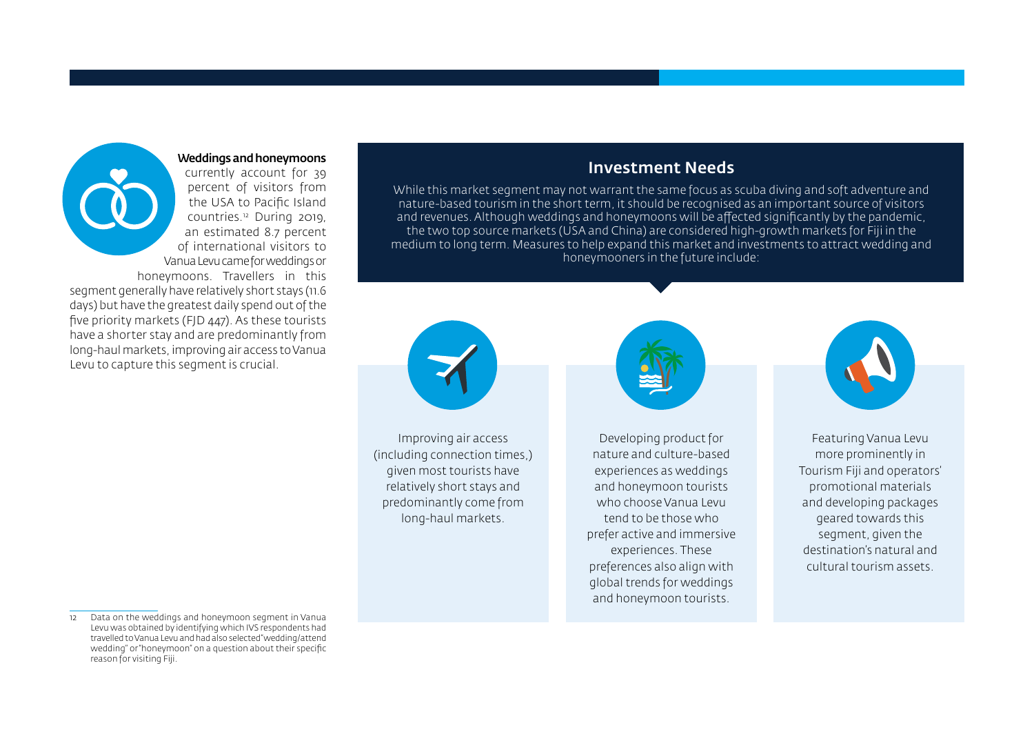#### Weddings and honeymoons

currently account for 39 percent of visitors from the USA to Pacific Island countries.12 During 2019, an estimated 8.7 percent of international visitors to Vanua Levu came for weddings or honeymoons. Travellers in this segment generally have relatively short stays (11.6 days) but have the greatest daily spend out of the five priority markets (FJD 447). As these tourists have a shorter stay and are predominantly from long-haul markets, improving air access to Vanua Levu to capture this segment is crucial.

> Improving air access (including connection times,) given most tourists have relatively short stays and predominantly come from long-haul markets.

Investment Needs While this market segment may not warrant the same focus as scuba diving and soft adventure and nature-based tourism in the short term, it should be recognised as an important source of visitors and revenues. Although weddings and honeymoons will be affected significantly by the pandemic, the two top source markets (USA and China) are considered high-growth markets for Fiji in the medium to long term. Measures to help expand this market and investments to attract wedding and honeymooners in the future include:

> Developing product for nature and culture-based experiences as weddings and honeymoon tourists who choose Vanua Levu tend to be those who prefer active and immersive experiences. These preferences also align with global trends for weddings and honeymoon tourists.



Featuring Vanua Levu more prominently in Tourism Fiji and operators' promotional materials and developing packages geared towards this segment, given the destination's natural and cultural tourism assets.

<sup>12</sup> Data on the weddings and honeymoon segment in Vanua Levu was obtained by identifying which IVS respondents had travelled to Vanua Levu and had also selected "wedding/attend wedding" or "honeymoon" on a question about their specific reason for visiting Fiji.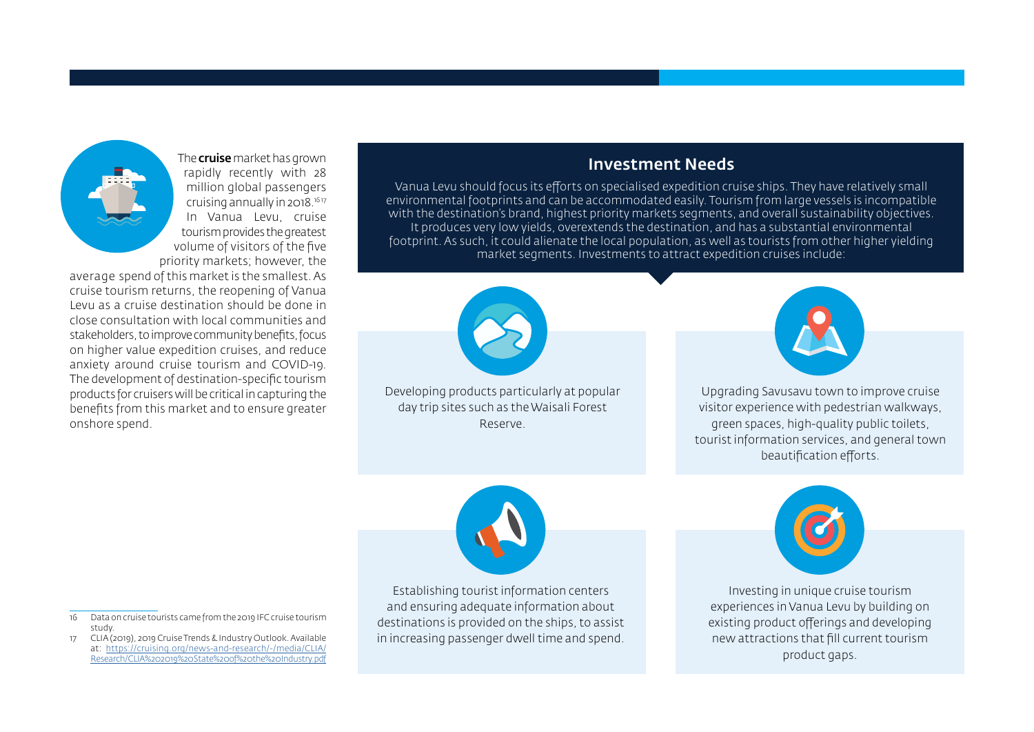

The **cruise** market has grown rapidly recently with 28 million global passengers cruising annually in 2018.16 17 In Vanua Levu, cruise tourism provides the greatest volume of visitors of the five priority markets; however, the

average spend of this market is the smallest. As cruise tourism returns, the reopening of Vanua Levu as a cruise destination should be done in close consultation with local communities and stakeholders, to improve community benefits, focus on higher value expedition cruises, and reduce anxiety around cruise tourism and COVID-19. The development of destination-specific tourism products for cruisers will be critical in capturing the benefits from this market and to ensure greater onshore spend.

### Investment Needs

Vanua Levu should focus its efforts on specialised expedition cruise ships. They have relatively small environmental footprints and can be accommodated easily. Tourism from large vessels is incompatible with the destination's brand, highest priority markets segments, and overall sustainability objectives. It produces very low yields, overextends the destination, and has a substantial environmental footprint. As such, it could alienate the local population, as well as tourists from other higher yielding market segments. Investments to attract expedition cruises include:



Developing products particularly at popular day trip sites such as the Waisali Forest Reserve.



Upgrading Savusavu town to improve cruise visitor experience with pedestrian walkways, green spaces, high-quality public toilets, tourist information services, and general town beautification efforts.



Establishing tourist information centers and ensuring adequate information about destinations is provided on the ships, to assist in increasing passenger dwell time and spend.



Investing in unique cruise tourism experiences in Vanua Levu by building on existing product offerings and developing new attractions that fill current tourism product gaps.

<sup>16</sup> Data on cruise tourists came from the 2019 IFC cruise tourism study.

<sup>17</sup> CLIA (2019), 2019 Cruise Trends & Industry Outlook. Available at: [https://cruising.org/news-and-research/-/media/CLIA/](https://cruising.org/news-and-research/-/media/CLIA/Research/CLIA%202019%20State%20of%20the%20Industry.pdf) [Research/CLIA%202019%20State%20of%20the%20Industry.pdf](https://cruising.org/news-and-research/-/media/CLIA/Research/CLIA%202019%20State%20of%20the%20Industry.pdf)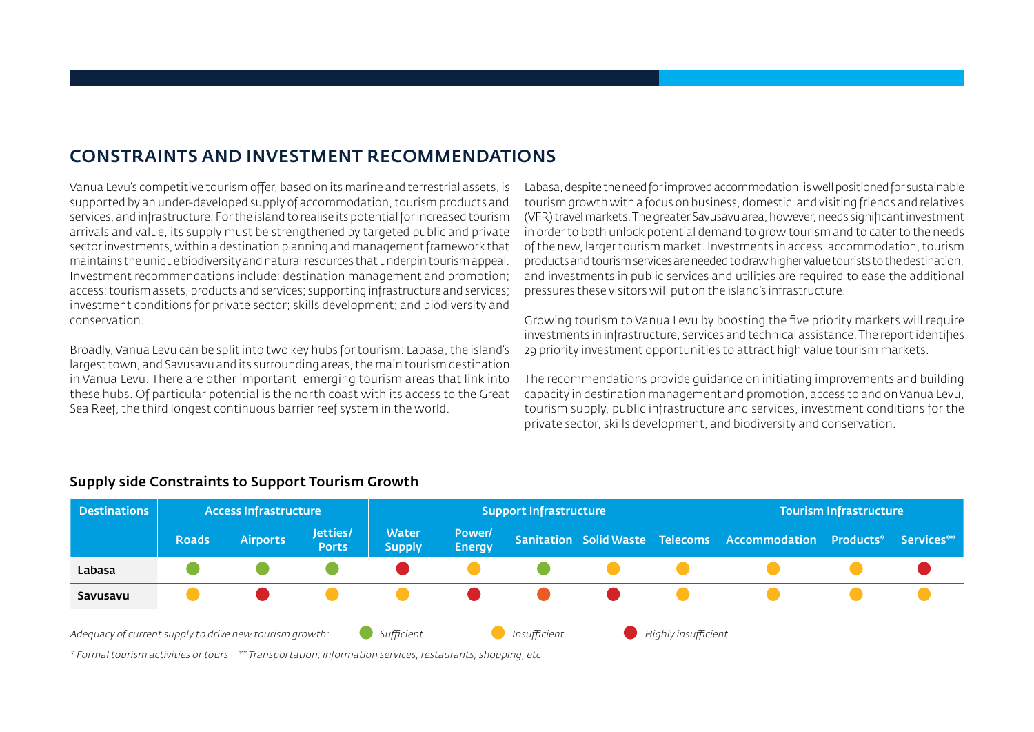## CONSTRAINTS AND INVESTMENT RECOMMENDATIONS

Vanua Levu's competitive tourism offer, based on its marine and terrestrial assets, is supported by an under-developed supply of accommodation, tourism products and services, and infrastructure. For the island to realise its potential for increased tourism arrivals and value, its supply must be strengthened by targeted public and private sector investments, within a destination planning and management framework that maintains the unique biodiversity and natural resources that underpin tourism appeal. Investment recommendations include: destination management and promotion; access; tourism assets, products and services; supporting infrastructure and services; investment conditions for private sector; skills development; and biodiversity and conservation.

Broadly, Vanua Levu can be split into two key hubs for tourism: Labasa, the island's largest town, and Savusavu and its surrounding areas, the main tourism destination in Vanua Levu. There are other important, emerging tourism areas that link into these hubs. Of particular potential is the north coast with its access to the Great Sea Reef, the third longest continuous barrier reef system in the world.

Labasa, despite the need for improved accommodation, is well positioned for sustainable tourism growth with a focus on business, domestic, and visiting friends and relatives (VFR) travel markets. The greater Savusavu area, however, needs significant investment in order to both unlock potential demand to grow tourism and to cater to the needs of the new, larger tourism market. Investments in access, accommodation, tourism products and tourism services are needed to draw higher value tourists to the destination, and investments in public services and utilities are required to ease the additional pressures these visitors will put on the island's infrastructure.

Growing tourism to Vanua Levu by boosting the five priority markets will require investments in infrastructure, services and technical assistance. The report identifies 29 priority investment opportunities to attract high value tourism markets.

The recommendations provide guidance on initiating improvements and building capacity in destination management and promotion, access to and on Vanua Levu, tourism supply, public infrastructure and services, investment conditions for the private sector, skills development, and biodiversity and conservation.



#### Supply side Constraints to Support Tourism Growth

\* Formal tourism activities or tours \*\* Transportation, information services, restaurants, shopping, etc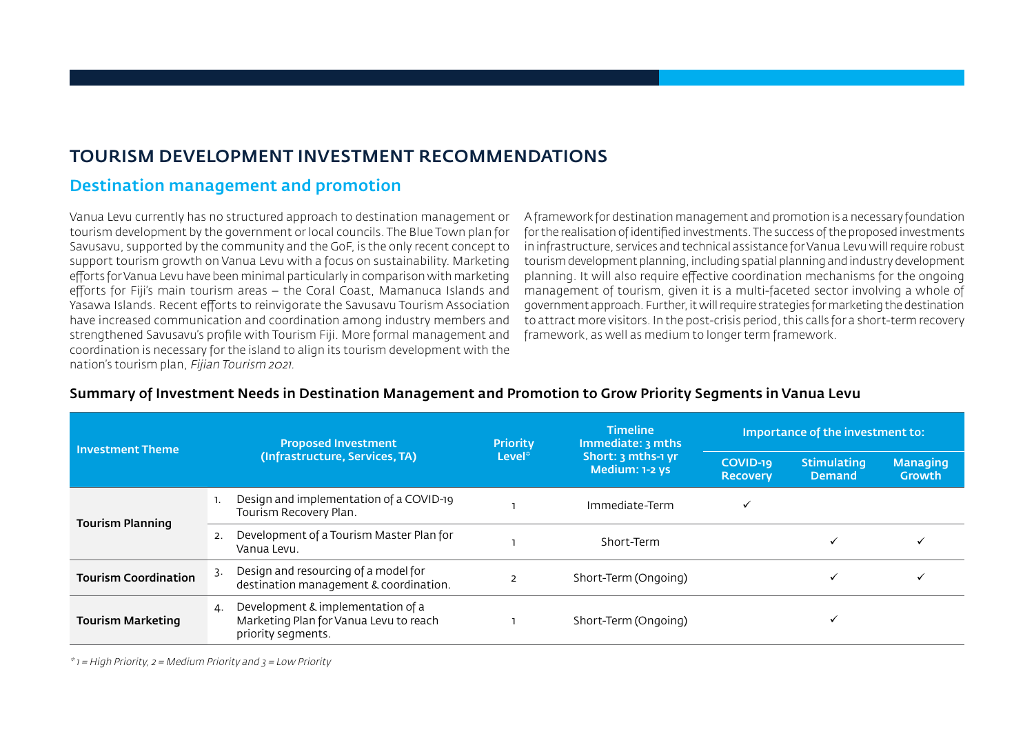## TOURISM DEVELOPMENT INVESTMENT RECOMMENDATIONS

## Destination management and promotion

Vanua Levu currently has no structured approach to destination management or tourism development by the government or local councils. The Blue Town plan for Savusavu, supported by the community and the GoF, is the only recent concept to support tourism growth on Vanua Levu with a focus on sustainability. Marketing efforts for Vanua Levu have been minimal particularly in comparison with marketing efforts for Fiji's main tourism areas – the Coral Coast, Mamanuca Islands and Yasawa Islands. Recent efforts to reinvigorate the Savusavu Tourism Association have increased communication and coordination among industry members and strengthened Savusavu's profile with Tourism Fiji. More formal management and coordination is necessary for the island to align its tourism development with the nation's tourism plan, Fijian Tourism 2021.

A framework for destination management and promotion is a necessary foundation for the realisation of identified investments. The success of the proposed investments in infrastructure, services and technical assistance for Vanua Levu will require robust tourism development planning, including spatial planning and industry development planning. It will also require effective coordination mechanisms for the ongoing management of tourism, given it is a multi-faceted sector involving a whole of government approach. Further, it will require strategies for marketing the destination to attract more visitors. In the post-crisis period, this calls for a short-term recovery framework, as well as medium to longer term framework.

| <b>Investment Theme</b>     | <b>Proposed Investment</b>                                                                              | <b>Priority</b> | <b>Timeline</b><br>Immediate: 3 mths | Importance of the investment to: |                                     |                                  |  |
|-----------------------------|---------------------------------------------------------------------------------------------------------|-----------------|--------------------------------------|----------------------------------|-------------------------------------|----------------------------------|--|
|                             | (Infrastructure, Services, TA)                                                                          | $Level*$        | Short: 3 mths-1 yr<br>Medium: 1-2 ys | COVID-19<br><b>Recovery</b>      | <b>Stimulating</b><br><b>Demand</b> | <b>Managing</b><br><b>Growth</b> |  |
|                             | Design and implementation of a COVID-19<br>Tourism Recovery Plan.                                       |                 | Immediate-Term                       |                                  |                                     |                                  |  |
| <b>Tourism Planning</b>     | Development of a Tourism Master Plan for<br>2.<br>Vanua Levu.                                           |                 | Short-Term                           |                                  |                                     |                                  |  |
| <b>Tourism Coordination</b> | Design and resourcing of a model for<br>3.<br>destination management & coordination.                    |                 | Short-Term (Ongoing)                 |                                  |                                     |                                  |  |
| <b>Tourism Marketing</b>    | Development & implementation of a<br>4.<br>Marketing Plan for Vanua Levu to reach<br>priority segments. |                 | Short-Term (Ongoing)                 |                                  |                                     |                                  |  |

#### Summary of Investment Needs in Destination Management and Promotion to Grow Priority Segments in Vanua Levu

 $*$  1 = High Priority, 2 = Medium Priority and 3 = Low Priority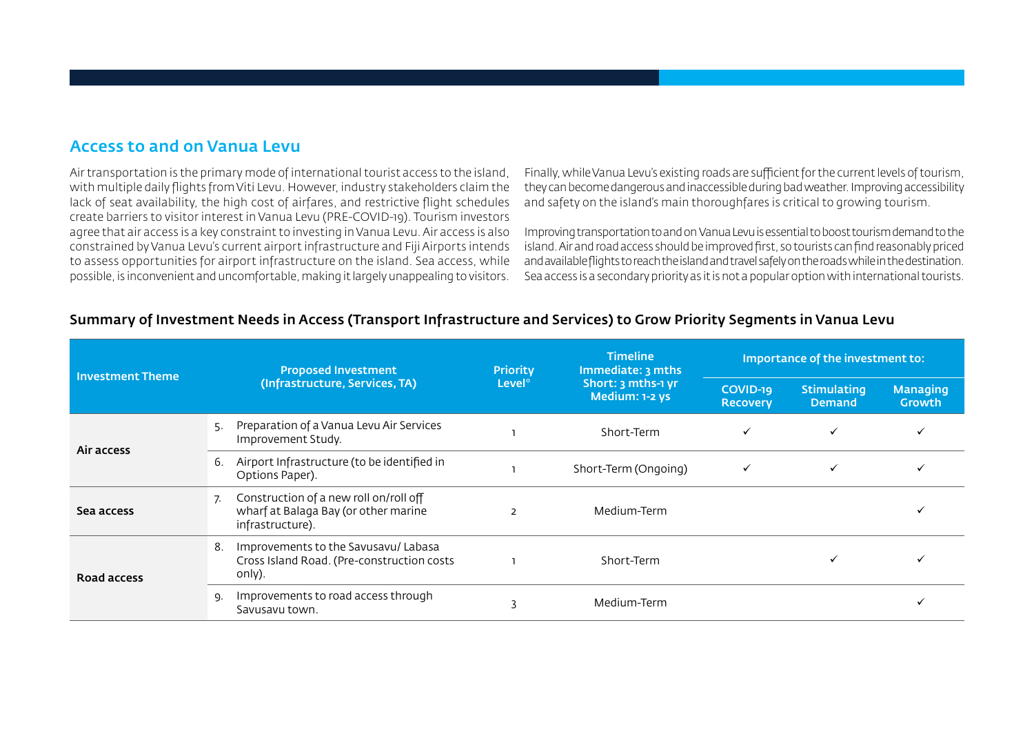### Access to and on Vanua Levu

Air transportation is the primary mode of international tourist access to the island, with multiple daily flights from Viti Levu. However, industry stakeholders claim the lack of seat availability, the high cost of airfares, and restrictive flight schedules create barriers to visitor interest in Vanua Levu (PRE-COVID-19). Tourism investors agree that air access is a key constraint to investing in Vanua Levu. Air access is also constrained by Vanua Levu's current airport infrastructure and Fiji Airports intends to assess opportunities for airport infrastructure on the island. Sea access, while possible, is inconvenient and uncomfortable, making it largely unappealing to visitors.

Finally, while Vanua Levu's existing roads are sufficient for the current levels of tourism, they can become dangerous and inaccessible during bad weather. Improving accessibility and safety on the island's main thoroughfares is critical to growing tourism.

Improving transportation to and on Vanua Levu is essential to boost tourism demand to the island. Air and road access should be improved first, so tourists can find reasonably priced and available flights to reach the island and travel safely on the roads while in the destination. Sea access is a secondary priority as it is not a popular option with international tourists.

#### Summary of Investment Needs in Access (Transport Infrastructure and Services) to Grow Priority Segments in Vanua Levu

| <b>Investment Theme</b> | <b>Proposed Investment</b> |                                                                                                    | <b>Priority</b>    | <b>Timeline</b><br>Immediate: 3 mths | Importance of the investment to: |                                     |                           |  |
|-------------------------|----------------------------|----------------------------------------------------------------------------------------------------|--------------------|--------------------------------------|----------------------------------|-------------------------------------|---------------------------|--|
|                         |                            | (Infrastructure, Services, TA)                                                                     | Level <sup>®</sup> | Short: 3 mths-1 yr<br>Medium: 1-2 ys | COVID-19<br><b>Recovery</b>      | <b>Stimulating</b><br><b>Demand</b> | <b>Managing</b><br>Growth |  |
| Air access              | 5.                         | Preparation of a Vanua Levu Air Services<br>Improvement Study.                                     |                    | Short-Term                           | $\checkmark$                     | $\checkmark$                        |                           |  |
|                         | 6.                         | Airport Infrastructure (to be identified in<br>Options Paper).                                     |                    | Short-Term (Ongoing)                 | $\checkmark$                     | $\checkmark$                        |                           |  |
| Sea access              | 7.                         | Construction of a new roll on/roll off<br>wharf at Balaga Bay (or other marine<br>infrastructure). | $\overline{2}$     | Medium-Term                          |                                  |                                     |                           |  |
| Road access             | 8.                         | Improvements to the Savusavu/ Labasa<br>Cross Island Road. (Pre-construction costs<br>only).       |                    | Short-Term                           |                                  |                                     |                           |  |
|                         | Ω.                         | Improvements to road access through<br>Savusavu town.                                              |                    | Medium-Term                          |                                  |                                     |                           |  |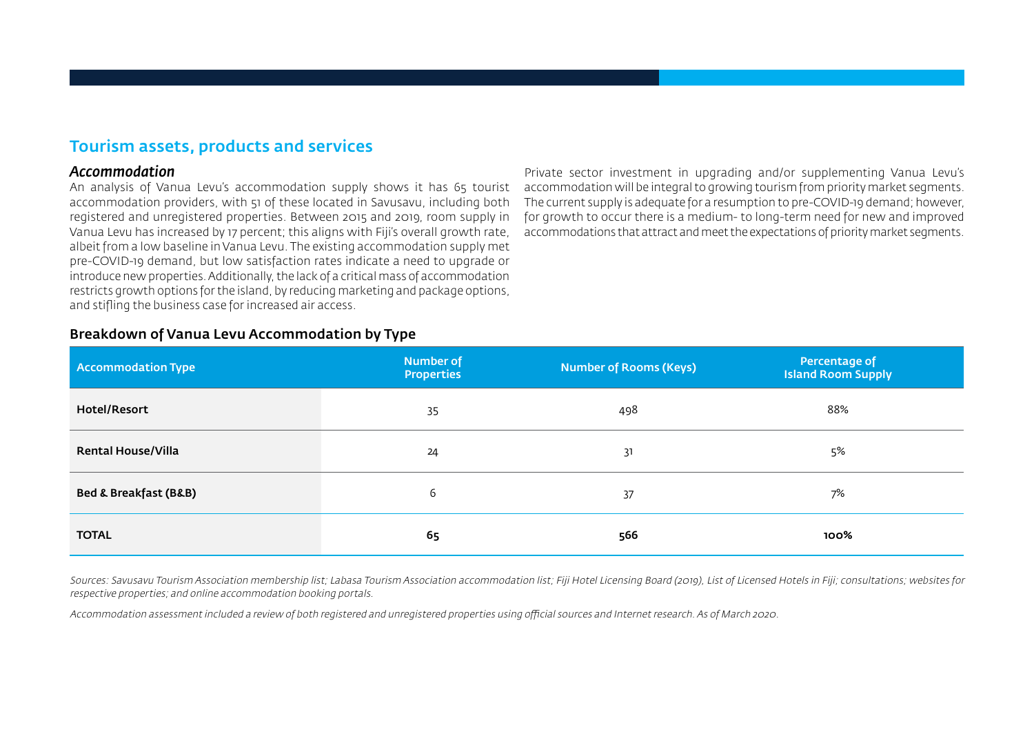## Tourism assets, products and services

#### *Accommodation*

An analysis of Vanua Levu's accommodation supply shows it has 65 tourist accommodation providers, with 51 of these located in Savusavu, including both registered and unregistered properties. Between 2015 and 2019, room supply in Vanua Levu has increased by 17 percent; this aligns with Fiji's overall growth rate, albeit from a low baseline in Vanua Levu. The existing accommodation supply met pre-COVID-19 demand, but low satisfaction rates indicate a need to upgrade or introduce new properties. Additionally, the lack of a critical mass of accommodation restricts growth options for the island, by reducing marketing and package options, and stifling the business case for increased air access.

Private sector investment in upgrading and/or supplementing Vanua Levu's accommodation will be integral to growing tourism from priority market segments. The current supply is adequate for a resumption to pre-COVID-19 demand; however, for growth to occur there is a medium- to long-term need for new and improved accommodations that attract and meet the expectations of priority market segments.

| Breakdown of Vanua Levu Accommodation by Type |  |  |  |
|-----------------------------------------------|--|--|--|
|-----------------------------------------------|--|--|--|

| Accommodation Type                   | <b>Number of</b><br><b>Properties</b> | Number of Rooms (Keys) | Percentage of<br><b>Island Room Supply</b> |
|--------------------------------------|---------------------------------------|------------------------|--------------------------------------------|
| Hotel/Resort                         | 35                                    | 498                    | 88%                                        |
| <b>Rental House/Villa</b>            | 24                                    | 31                     | 5%                                         |
| <b>Bed &amp; Breakfast (B&amp;B)</b> | 6                                     | 37                     | 7%                                         |
| <b>TOTAL</b>                         | 65                                    | 566                    | 100%                                       |

Sources: Savusavu Tourism Association membership list; Labasa Tourism Association accommodation list; Fiji Hotel Licensing Board (2019), List of Licensed Hotels in Fiji; consultations; websites for respective properties; and online accommodation booking portals.

Accommodation assessment included a review of both registered and unregistered properties using official sources and Internet research. As of March 2020.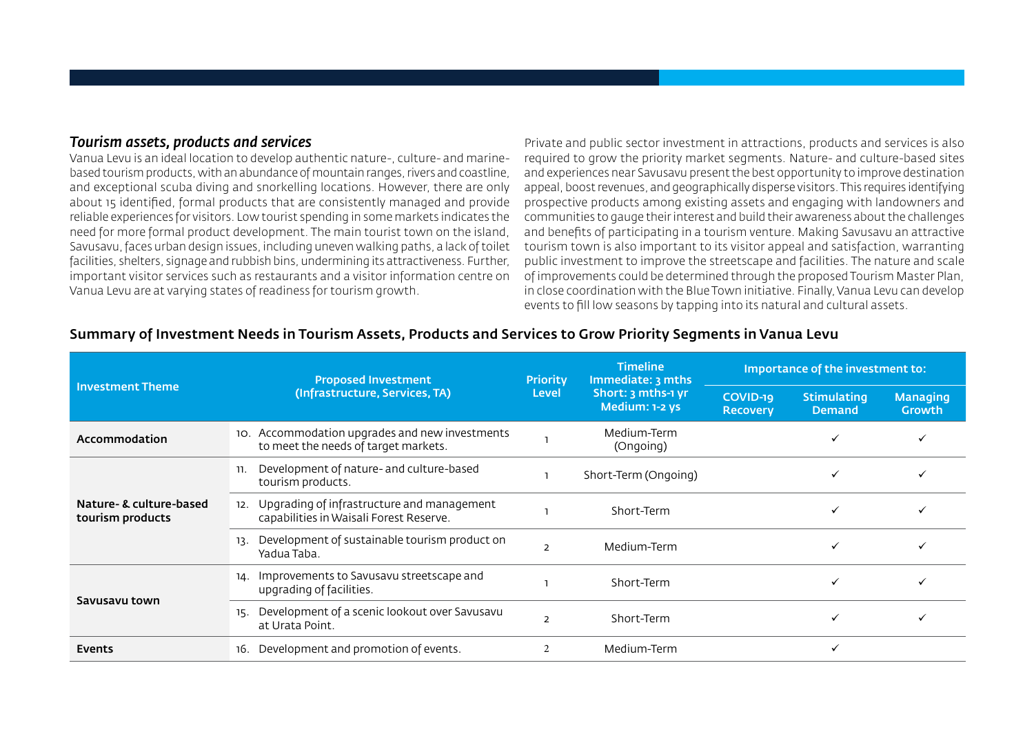#### *Tourism assets, products and services*

Vanua Levu is an ideal location to develop authentic nature-, culture- and marinebased tourism products, with an abundance of mountain ranges, rivers and coastline, and exceptional scuba diving and snorkelling locations. However, there are only about 15 identified, formal products that are consistently managed and provide reliable experiences for visitors. Low tourist spending in some markets indicates the need for more formal product development. The main tourist town on the island, Savusavu, faces urban design issues, including uneven walking paths, a lack of toilet facilities, shelters, signage and rubbish bins, undermining its attractiveness. Further, important visitor services such as restaurants and a visitor information centre on Vanua Levu are at varying states of readiness for tourism growth.

Private and public sector investment in attractions, products and services is also required to grow the priority market segments. Nature- and culture-based sites and experiences near Savusavu present the best opportunity to improve destination appeal, boost revenues, and geographically disperse visitors. This requires identifying prospective products among existing assets and engaging with landowners and communities to gauge their interest and build their awareness about the challenges and benefits of participating in a tourism venture. Making Savusavu an attractive tourism town is also important to its visitor appeal and satisfaction, warranting public investment to improve the streetscape and facilities. The nature and scale of improvements could be determined through the proposed Tourism Master Plan, in close coordination with the Blue Town initiative. Finally, Vanua Levu can develop events to fill low seasons by tapping into its natural and cultural assets.

|                                             | <b>Proposed Investment</b>                                                             |                                                                                                                                                                                                                                                                         | <b>Timeline</b><br>Immediate: 3 mths | Importance of the investment to: |  |  |  |
|---------------------------------------------|----------------------------------------------------------------------------------------|-------------------------------------------------------------------------------------------------------------------------------------------------------------------------------------------------------------------------------------------------------------------------|--------------------------------------|----------------------------------|--|--|--|
| <b>Investment Theme</b>                     | (Infrastructure, Services, TA)                                                         | <b>Priority</b><br>Short: 3 mths-1 yr<br>Level<br>COVID-19<br>Medium: 1-2 ys<br><b>Recovery</b><br>Medium-Term<br>(Ongoing)<br>Short-Term (Ongoing)<br>Short-Term<br>Medium-Term<br>$\mathcal{P}$<br>Short-Term<br>✓<br>Short-Term<br>$\mathcal{P}$<br>Medium-Term<br>✓ | <b>Stimulating</b><br><b>Demand</b>  | <b>Managing</b><br><b>Growth</b> |  |  |  |
| Accommodation                               | 10. Accommodation upgrades and new investments<br>to meet the needs of target markets. |                                                                                                                                                                                                                                                                         |                                      |                                  |  |  |  |
| Nature- & culture-based<br>tourism products | Development of nature- and culture-based<br>11.<br>tourism products.                   |                                                                                                                                                                                                                                                                         |                                      |                                  |  |  |  |
|                                             | Upgrading of infrastructure and management<br>capabilities in Waisali Forest Reserve.  |                                                                                                                                                                                                                                                                         |                                      |                                  |  |  |  |
|                                             | Development of sustainable tourism product on<br>13.<br>Yadua Taba.                    |                                                                                                                                                                                                                                                                         |                                      |                                  |  |  |  |
|                                             | Improvements to Savusavu streetscape and<br>14.<br>upgrading of facilities.            |                                                                                                                                                                                                                                                                         |                                      |                                  |  |  |  |
| Savusavu town                               | Development of a scenic lookout over Savusavu<br>15.<br>at Urata Point.                |                                                                                                                                                                                                                                                                         |                                      |                                  |  |  |  |
| Events                                      | Development and promotion of events.<br>16.                                            |                                                                                                                                                                                                                                                                         |                                      |                                  |  |  |  |

#### Summary of Investment Needs in Tourism Assets, Products and Services to Grow Priority Segments in Vanua Levu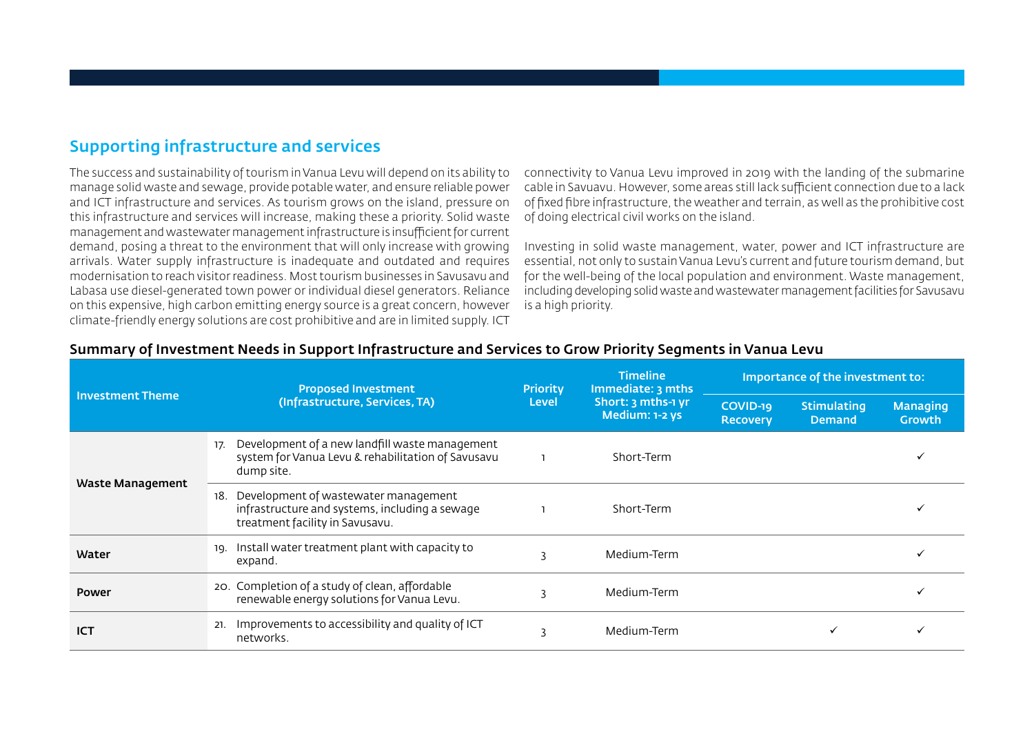## Supporting infrastructure and services

The success and sustainability of tourism in Vanua Levu will depend on its ability to manage solid waste and sewage, provide potable water, and ensure reliable power and ICT infrastructure and services. As tourism grows on the island, pressure on this infrastructure and services will increase, making these a priority. Solid waste management and wastewater management infrastructure is insufficient for current demand, posing a threat to the environment that will only increase with growing arrivals. Water supply infrastructure is inadequate and outdated and requires modernisation to reach visitor readiness. Most tourism businesses in Savusavu and Labasa use diesel-generated town power or individual diesel generators. Reliance on this expensive, high carbon emitting energy source is a great concern, however climate-friendly energy solutions are cost prohibitive and are in limited supply. ICT

connectivity to Vanua Levu improved in 2019 with the landing of the submarine cable in Savuavu. However, some areas still lack sufficient connection due to a lack of fixed fibre infrastructure, the weather and terrain, as well as the prohibitive cost of doing electrical civil works on the island.

Investing in solid waste management, water, power and ICT infrastructure are essential, not only to sustain Vanua Levu's current and future tourism demand, but for the well-being of the local population and environment. Waste management, including developing solid waste and wastewater management facilities for Savusavu is a high priority.

|                         | <b>Proposed Investment</b>                                                                                                       | <b>Priority</b> | <b>Timeline</b><br>Immediate: 3 mths | Importance of the investment to: |                                     |                           |  |
|-------------------------|----------------------------------------------------------------------------------------------------------------------------------|-----------------|--------------------------------------|----------------------------------|-------------------------------------|---------------------------|--|
| <b>Investment Theme</b> | (Infrastructure, Services, TA)                                                                                                   | <b>Level</b>    | Short: 3 mths-1 yr<br>Medium: 1-2 ys | COVID-19<br><b>Recovery</b>      | <b>Stimulating</b><br><b>Demand</b> | <b>Managing</b><br>Growth |  |
| Waste Management        | Development of a new landfill waste management<br>17.<br>system for Vanua Levu & rehabilitation of Savusavu<br>dump site.        |                 | Short-Term                           |                                  |                                     |                           |  |
|                         | Development of wastewater management<br>18.<br>infrastructure and systems, including a sewage<br>treatment facility in Savusavu. |                 | Short-Term                           |                                  |                                     |                           |  |
| Water                   | Install water treatment plant with capacity to<br>19.<br>expand.                                                                 | २               | Medium-Term                          |                                  |                                     |                           |  |
| <b>Power</b>            | 20. Completion of a study of clean, affordable<br>renewable energy solutions for Vanua Levu.                                     |                 | Medium-Term                          |                                  |                                     |                           |  |
| ICT                     | Improvements to accessibility and quality of ICT<br>21.<br>networks.                                                             |                 | Medium-Term                          |                                  |                                     |                           |  |

#### Summary of Investment Needs in Support Infrastructure and Services to Grow Priority Segments in Vanua Levu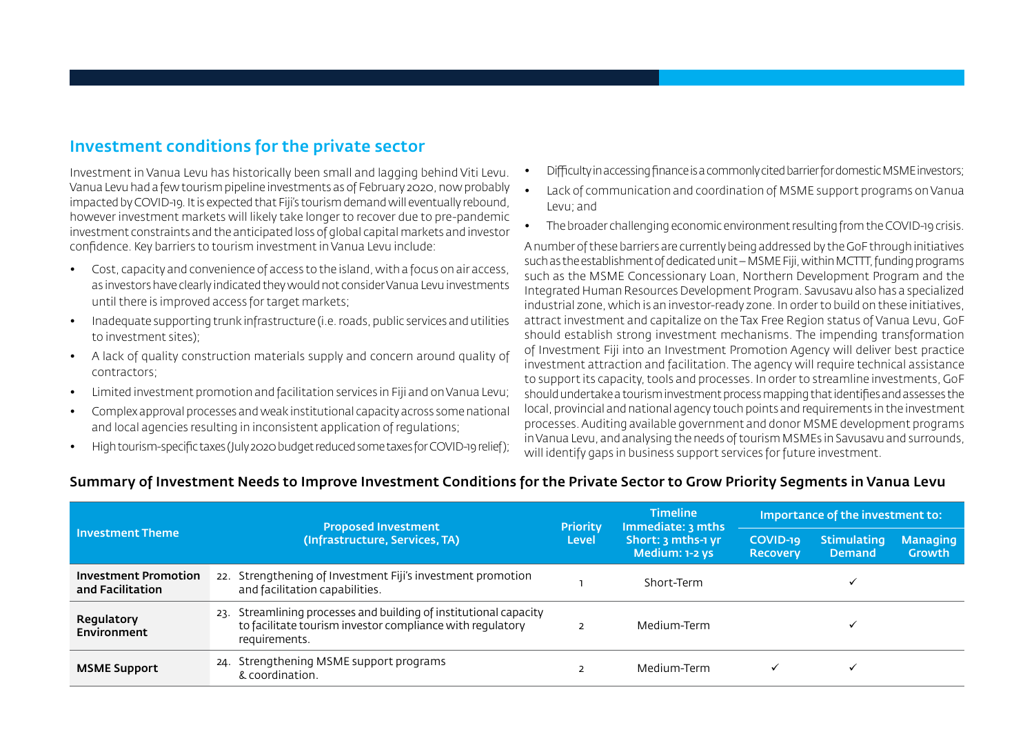## Investment conditions for the private sector

Investment in Vanua Levu has historically been small and lagging behind Viti Levu. Vanua Levu had a few tourism pipeline investments as of February 2020, now probably impacted by COVID-19. It is expected that Fiji's tourism demand will eventually rebound, however investment markets will likely take longer to recover due to pre-pandemic investment constraints and the anticipated loss of global capital markets and investor confidence. Key barriers to tourism investment in Vanua Levu include:

- Cost, capacity and convenience of access to the island, with a focus on air access, as investors have clearly indicated they would not consider Vanua Levu investments until there is improved access for target markets;
- Inadequate supporting trunk infrastructure (i.e. roads, public services and utilities to investment sites);
- A lack of quality construction materials supply and concern around quality of contractors;
- Limited investment promotion and facilitation services in Fiji and on Vanua Levu;
- Complex approval processes and weak institutional capacity across some national and local agencies resulting in inconsistent application of regulations;
- High tourism-specific taxes (July 2020 budget reduced some taxes for COVID-19 relief);
- Difficulty in accessing finance is a commonly cited barrier for domestic MSME investors;
- Lack of communication and coordination of MSME support programs on Vanua Levu; and
- The broader challenging economic environment resulting from the COVID-19 crisis.

A number of these barriers are currently being addressed by the GoF through initiatives such as the establishment of dedicated unit – MSME Fiji, within MCTTT, funding programs such as the MSME Concessionary Loan, Northern Development Program and the Integrated Human Resources Development Program. Savusavu also has a specialized industrial zone, which is an investor-ready zone. In order to build on these initiatives, attract investment and capitalize on the Tax Free Region status of Vanua Levu, GoF should establish strong investment mechanisms. The impending transformation of Investment Fiji into an Investment Promotion Agency will deliver best practice investment attraction and facilitation. The agency will require technical assistance to support its capacity, tools and processes. In order to streamline investments, GoF should undertake a tourism investment process mapping that identifies and assesses the local, provincial and national agency touch points and requirements in the investment processes. Auditing available government and donor MSME development programs in Vanua Levu, and analysing the needs of tourism MSMEs in Savusavu and surrounds, will identify gaps in business support services for future investment.

#### Summary of Investment Needs to Improve Investment Conditions for the Private Sector to Grow Priority Segments in Vanua Levu

|                                                 | <b>Proposed Investment</b>                                                                                                                      |                                 | <b>Timeline</b><br>Immediate: 3 mths | Importance of the investment to: |                                     |                                  |
|-------------------------------------------------|-------------------------------------------------------------------------------------------------------------------------------------------------|---------------------------------|--------------------------------------|----------------------------------|-------------------------------------|----------------------------------|
| <b>Investment Theme</b>                         | (Infrastructure, Services, TA)                                                                                                                  | <b>Priority</b><br><b>Level</b> | Short: 3 mths-1 yr<br>Medium: 1-2 ys | COVID-19<br><b>Recoverv</b>      | <b>Stimulating</b><br><b>Demand</b> | <b>Managing</b><br><b>Growth</b> |
| <b>Investment Promotion</b><br>and Facilitation | 22. Strengthening of Investment Fiji's investment promotion<br>and facilitation capabilities.                                                   |                                 | Short-Term                           |                                  |                                     |                                  |
| Regulatory<br>Environment                       | 23. Streamlining processes and building of institutional capacity<br>to facilitate tourism investor compliance with requlatory<br>requirements. |                                 | Medium-Term                          |                                  |                                     |                                  |
| <b>MSME Support</b>                             | Strengthening MSME support programs<br>24.<br>& coordination.                                                                                   |                                 | Medium-Term                          |                                  |                                     |                                  |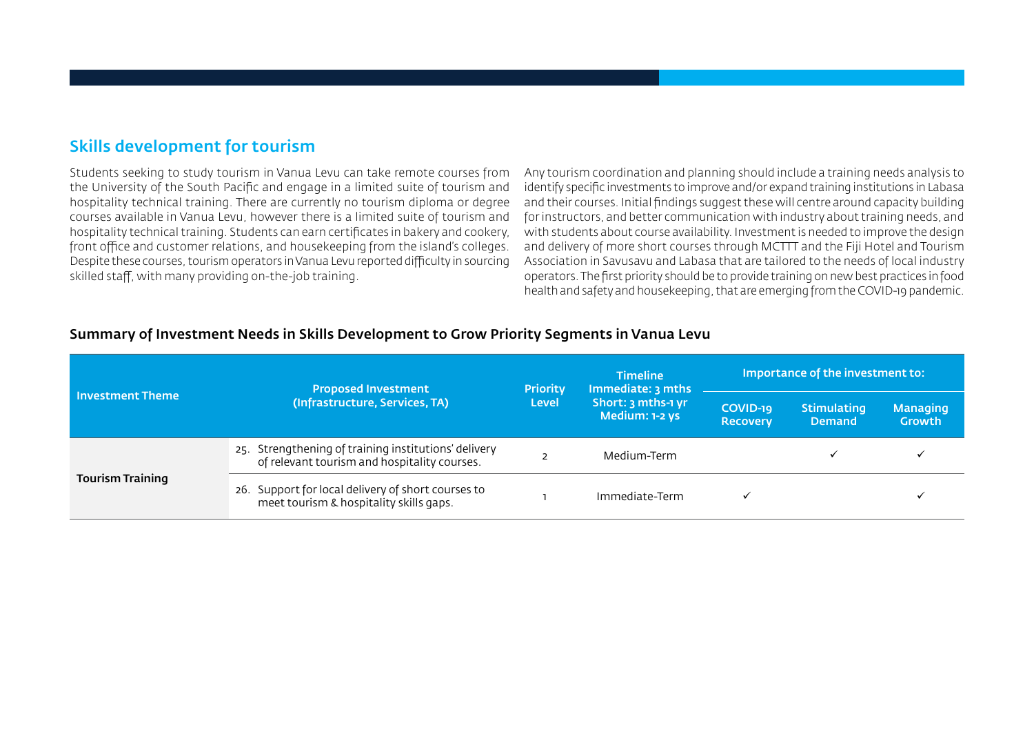## Skills development for tourism

Students seeking to study tourism in Vanua Levu can take remote courses from the University of the South Pacific and engage in a limited suite of tourism and hospitality technical training. There are currently no tourism diploma or degree courses available in Vanua Levu, however there is a limited suite of tourism and hospitality technical training. Students can earn certificates in bakery and cookery, front office and customer relations, and housekeeping from the island's colleges. Despite these courses, tourism operators in Vanua Levu reported difficulty in sourcing skilled staff, with many providing on-the-job training.

Any tourism coordination and planning should include a training needs analysis to identify specific investments to improve and/or expand training institutions in Labasa and their courses. Initial findings suggest these will centre around capacity building for instructors, and better communication with industry about training needs, and with students about course availability. Investment is needed to improve the design and delivery of more short courses through MCTTT and the Fiji Hotel and Tourism Association in Savusavu and Labasa that are tailored to the needs of local industry operators. The first priority should be to provide training on new best practices in food health and safety and housekeeping, that are emerging from the COVID-19 pandemic.

|                         | <b>Proposed Investment</b>                                                                           | <b>Timeline</b><br>Immediate: 3 mths<br><b>Priority</b><br>Short: 3 mths-1 yr<br><b>Level</b><br>Medium: 1-2 ys |                             | Importance of the investment to:    |                           |  |  |
|-------------------------|------------------------------------------------------------------------------------------------------|-----------------------------------------------------------------------------------------------------------------|-----------------------------|-------------------------------------|---------------------------|--|--|
| l Investment Theme      | (Infrastructure, Services, TA)                                                                       |                                                                                                                 | COVID-19<br><b>Recovery</b> | <b>Stimulating</b><br><b>Demand</b> | <b>Managing</b><br>Growth |  |  |
|                         | 25. Strengthening of training institutions' delivery<br>of relevant tourism and hospitality courses. |                                                                                                                 | Medium-Term                 |                                     |                           |  |  |
| <b>Tourism Training</b> | 26. Support for local delivery of short courses to<br>meet tourism & hospitality skills gaps.        |                                                                                                                 | Immediate-Term              |                                     |                           |  |  |

#### Summary of Investment Needs in Skills Development to Grow Priority Segments in Vanua Levu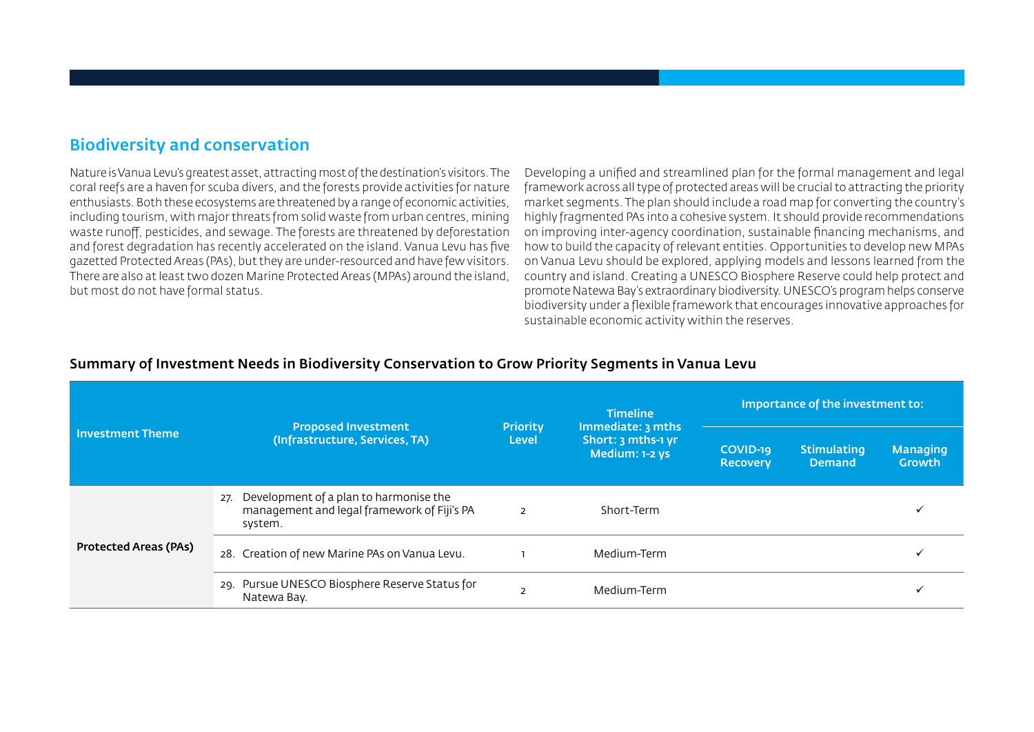## Biodiversity and conservation

Nature is Vanua Levu's greatest asset, attracting most of the destination's visitors. The coral reefs are a haven for scuba divers, and the forests provide activities for nature enthusiasts. Both these ecosystems are threatened by a range of economic activities, including tourism, with major threats from solid waste from urban centres, mining waste runoff, pesticides, and sewage. The forests are threatened by deforestation and forest degradation has recently accelerated on the island. Vanua Levu has five gazetted Protected Areas (PAs), but they are under-resourced and have few visitors. There are also at least two dozen Marine Protected Areas (MPAs) around the island, but most do not have formal status.

Developing a unified and streamlined plan for the formal management and legal framework across all type of protected areas will be crucial to attracting the priority market segments. The plan should include a road map for converting the country's highly fragmented PAs into a cohesive system. It should provide recommendations on improving inter-agency coordination, sustainable financing mechanisms, and how to build the capacity of relevant entities. Opportunities to develop new MPAs on Vanua Levu should be explored, applying models and lessons learned from the country and island. Creating a UNESCO Biosphere Reserve could help protect and promote Natewa Bay's extraordinary biodiversity. UNESCO's program helps conserve biodiversity under a flexible framework that encourages innovative approaches for sustainable economic activity within the reserves.

|                              |                                                                                                         |                                 | <b>Timeline</b>                                           | Importance of the investment to:                            |                                  |  |  |
|------------------------------|---------------------------------------------------------------------------------------------------------|---------------------------------|-----------------------------------------------------------|-------------------------------------------------------------|----------------------------------|--|--|
| <b>Investment Theme</b>      | <b>Proposed Investment</b><br>(Infrastructure, Services, TA)                                            | <b>Priority</b><br><b>Level</b> | Immediate: 3 mths<br>Short: 3 mths-1 yr<br>Medium: 1-2 ys | <b>Stimulating</b><br>COVID-19<br>Demand<br><b>Recovery</b> | <b>Managing</b><br><b>Growth</b> |  |  |
|                              | Development of a plan to harmonise the<br>27.<br>management and legal framework of Fiji's PA<br>system. | $\overline{2}$                  | Short-Term                                                |                                                             |                                  |  |  |
| <b>Protected Areas (PAs)</b> | 28. Creation of new Marine PAs on Vanua Levu.                                                           |                                 | Medium-Term                                               |                                                             |                                  |  |  |
|                              | 29. Pursue UNESCO Biosphere Reserve Status for<br>Natewa Bay.                                           |                                 | Medium-Term                                               |                                                             |                                  |  |  |

#### Summary of Investment Needs in Biodiversity Conservation to Grow Priority Segments in Vanua Levu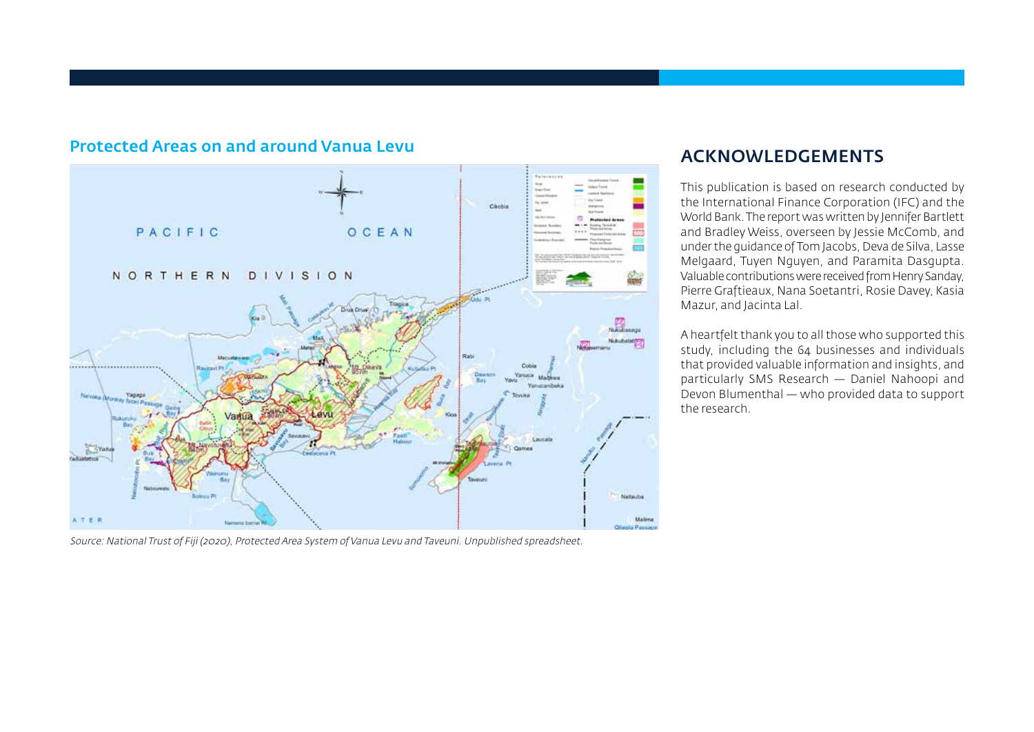

### Protected Areas on and around Vanua Levu

Source: National Trust of Fiji (2020), Protected Area System of Vanua Levu and Taveuni. Unpublished spreadsheet.

## ACKNOWLEDGEMENTS

This publication is based on research conducted by the International Finance Corporation (IFC) and the World Bank. The report was written by Jennifer Bartlett and Bradley Weiss, overseen by Jessie McComb, and under the guidance of Tom Jacobs, Deva de Silva, Lasse Melgaard, Tuyen Nguyen, and Paramita Dasgupta. Valuable contributions were received from Henry Sanday, Pierre Graftieaux, Nana Soetantri, Rosie Davey, Kasia Mazur, and Jacinta Lal.

A heartfelt thank you to all those who supported this study, including the 64 businesses and individuals that provided valuable information and insights, and particularly SMS Research — Daniel Nahoopi and Devon Blumenthal — who provided data to support the research.